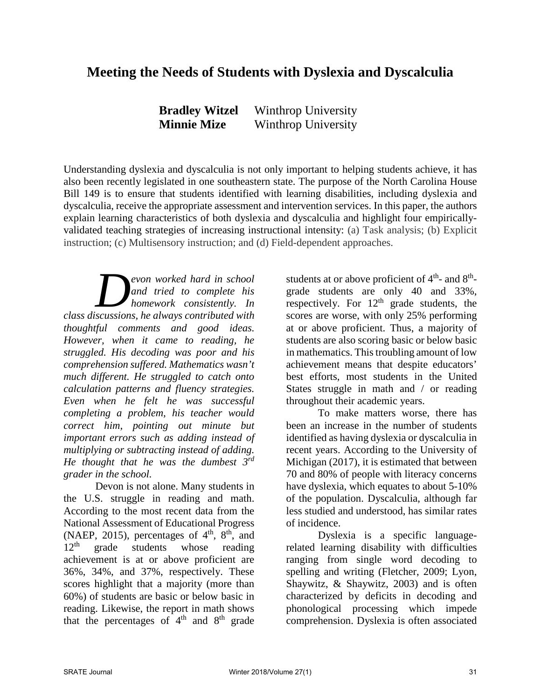# **Meeting the Needs of Students with Dyslexia and Dyscalculia**

| <b>Bradley Witzel</b> | Winthrop University |
|-----------------------|---------------------|
| <b>Minnie Mize</b>    | Winthrop University |

Understanding dyslexia and dyscalculia is not only important to helping students achieve, it has also been recently legislated in one southeastern state. The purpose of the North Carolina House Bill 149 is to ensure that students identified with learning disabilities, including dyslexia and dyscalculia, receive the appropriate assessment and intervention services. In this paper, the authors explain learning characteristics of both dyslexia and dyscalculia and highlight four empiricallyvalidated teaching strategies of increasing instructional intensity: (a) Task analysis; (b) Explicit instruction; (c) Multisensory instruction; and (d) Field-dependent approaches.

*evon worked hard in school and tried to complete his homework consistently. In con worked hard in school*<br>and tried to complete his<br>homework consistently. In<br>class discussions, he always contributed with *thoughtful comments and good ideas. However, when it came to reading, he struggled. His decoding was poor and his comprehension suffered. Mathematics wasn't much different. He struggled to catch onto calculation patterns and fluency strategies. Even when he felt he was successful completing a problem, his teacher would correct him, pointing out minute but important errors such as adding instead of multiplying or subtracting instead of adding. He thought that he was the dumbest 3rd grader in the school.* 

Devon is not alone. Many students in the U.S. struggle in reading and math. According to the most recent data from the National Assessment of Educational Progress (NAEP, 2015), percentages of  $4<sup>th</sup>$ ,  $8<sup>th</sup>$ , and  $12<sup>th</sup>$  grade students whose reading achievement is at or above proficient are 36%, 34%, and 37%, respectively. These scores highlight that a majority (more than 60%) of students are basic or below basic in reading. Likewise, the report in math shows that the percentages of  $4<sup>th</sup>$  and  $8<sup>th</sup>$  grade

students at or above proficient of  $4<sup>th</sup>$ - and  $8<sup>th</sup>$ grade students are only 40 and 33%, respectively. For  $12<sup>th</sup>$  grade students, the scores are worse, with only 25% performing at or above proficient. Thus, a majority of students are also scoring basic or below basic in mathematics. This troubling amount of low achievement means that despite educators' best efforts, most students in the United States struggle in math and / or reading throughout their academic years.

To make matters worse, there has been an increase in the number of students identified as having dyslexia or dyscalculia in recent years. According to the University of Michigan (2017), it is estimated that between 70 and 80% of people with literacy concerns have dyslexia, which equates to about 5-10% of the population. Dyscalculia, although far less studied and understood, has similar rates of incidence.

Dyslexia is a specific languagerelated learning disability with difficulties ranging from single word decoding to spelling and writing (Fletcher, 2009; Lyon, Shaywitz, & Shaywitz, 2003) and is often characterized by deficits in decoding and phonological processing which impede comprehension. Dyslexia is often associated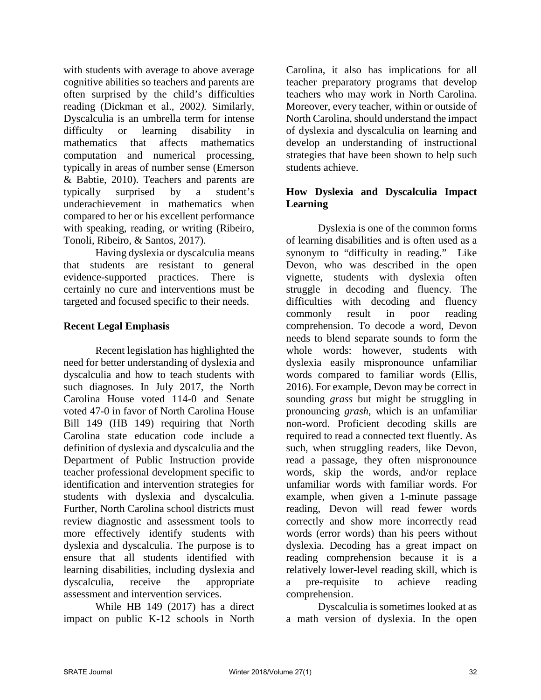with students with average to above average cognitive abilities so teachers and parents are often surprised by the child's difficulties reading (Dickman et al., 2002*).* Similarly, Dyscalculia is an umbrella term for intense difficulty or learning disability in mathematics that affects mathematics computation and numerical processing, typically in areas of number sense (Emerson & Babtie, 2010). Teachers and parents are typically surprised by a student's underachievement in mathematics when compared to her or his excellent performance with speaking, reading, or writing (Ribeiro, Tonoli, Ribeiro, & Santos, 2017).

Having dyslexia or dyscalculia means that students are resistant to general evidence-supported practices. There is certainly no cure and interventions must be targeted and focused specific to their needs.

## **Recent Legal Emphasis**

Recent legislation has highlighted the need for better understanding of dyslexia and dyscalculia and how to teach students with such diagnoses. In July 2017, the North Carolina House voted 114-0 and Senate voted 47-0 in favor of North Carolina House Bill 149 (HB 149) requiring that North Carolina state education code include a definition of dyslexia and dyscalculia and the Department of Public Instruction provide teacher professional development specific to identification and intervention strategies for students with dyslexia and dyscalculia. Further, North Carolina school districts must review diagnostic and assessment tools to more effectively identify students with dyslexia and dyscalculia. The purpose is to ensure that all students identified with learning disabilities, including dyslexia and dyscalculia, receive the appropriate assessment and intervention services.

While HB 149 (2017) has a direct impact on public K-12 schools in North

Carolina, it also has implications for all teacher preparatory programs that develop teachers who may work in North Carolina. Moreover, every teacher, within or outside of North Carolina, should understand the impact of dyslexia and dyscalculia on learning and develop an understanding of instructional strategies that have been shown to help such students achieve.

## **How Dyslexia and Dyscalculia Impact Learning**

Dyslexia is one of the common forms of learning disabilities and is often used as a synonym to "difficulty in reading." Like Devon, who was described in the open vignette, students with dyslexia often struggle in decoding and fluency. The difficulties with decoding and fluency commonly result in poor reading comprehension. To decode a word, Devon needs to blend separate sounds to form the whole words: however, students with dyslexia easily mispronounce unfamiliar words compared to familiar words (Ellis, 2016). For example, Devon may be correct in sounding *grass* but might be struggling in pronouncing *grash*, which is an unfamiliar non-word. Proficient decoding skills are required to read a connected text fluently. As such, when struggling readers, like Devon, read a passage, they often mispronounce words, skip the words, and/or replace unfamiliar words with familiar words. For example, when given a 1-minute passage reading, Devon will read fewer words correctly and show more incorrectly read words (error words) than his peers without dyslexia. Decoding has a great impact on reading comprehension because it is a relatively lower-level reading skill, which is a pre-requisite to achieve reading comprehension.

Dyscalculia is sometimes looked at as a math version of dyslexia. In the open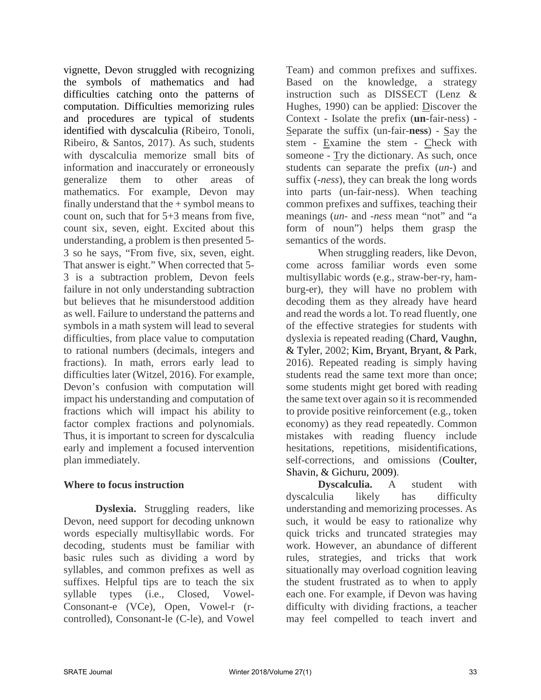vignette, Devon struggled with recognizing the symbols of mathematics and had difficulties catching onto the patterns of computation. Difficulties memorizing rules and procedures are typical of students identified with dyscalculia (Ribeiro, Tonoli, Ribeiro, & Santos, 2017). As such, students with dyscalculia memorize small bits of information and inaccurately or erroneously generalize them to other areas of mathematics. For example, Devon may finally understand that the + symbol means to count on, such that for 5+3 means from five, count six, seven, eight. Excited about this understanding, a problem is then presented 5- 3 so he says, "From five, six, seven, eight. That answer is eight." When corrected that 5- 3 is a subtraction problem, Devon feels failure in not only understanding subtraction but believes that he misunderstood addition as well. Failure to understand the patterns and symbols in a math system will lead to several difficulties, from place value to computation to rational numbers (decimals, integers and fractions). In math, errors early lead to difficulties later (Witzel, 2016). For example, Devon's confusion with computation will impact his understanding and computation of fractions which will impact his ability to factor complex fractions and polynomials. Thus, it is important to screen for dyscalculia early and implement a focused intervention plan immediately.

## **Where to focus instruction**

 **Dyslexia.** Struggling readers, like Devon, need support for decoding unknown words especially multisyllabic words. For decoding, students must be familiar with basic rules such as dividing a word by syllables, and common prefixes as well as suffixes. Helpful tips are to teach the six syllable types (i.e., Closed, Vowel-Consonant-e (VCe), Open, Vowel-r (rcontrolled), Consonant-le (C-le), and Vowel

Team) and common prefixes and suffixes. Based on the knowledge, a strategy instruction such as DISSECT (Lenz & Hughes, 1990) can be applied: Discover the Context - Isolate the prefix (**un**-fair-ness) - Separate the suffix (un-fair-**ness**) - Say the stem - Examine the stem - Check with someone - Try the dictionary. As such, once students can separate the prefix (*un-*) and suffix (*-ness*), they can break the long words into parts (un-fair-ness). When teaching common prefixes and suffixes, teaching their meanings (*un-* and *-ness* mean "not" and "a form of noun") helps them grasp the semantics of the words.

 When struggling readers, like Devon, come across familiar words even some multisyllabic words (e.g., straw-ber-ry, hamburg-er), they will have no problem with decoding them as they already have heard and read the words a lot. To read fluently, one of the effective strategies for students with dyslexia is repeated reading (Chard, Vaughn, & Tyler, 2002; Kim, Bryant, Bryant, & Park, 2016). Repeated reading is simply having students read the same text more than once; some students might get bored with reading the same text over again so it is recommended to provide positive reinforcement (e.g., token economy) as they read repeatedly. Common mistakes with reading fluency include hesitations, repetitions, misidentifications, self-corrections, and omissions (Coulter, Shavin, & Gichuru, 2009).

**Dyscalculia.** A student with dyscalculia likely has difficulty understanding and memorizing processes. As such, it would be easy to rationalize why quick tricks and truncated strategies may work. However, an abundance of different rules, strategies, and tricks that work situationally may overload cognition leaving the student frustrated as to when to apply each one. For example, if Devon was having difficulty with dividing fractions, a teacher may feel compelled to teach invert and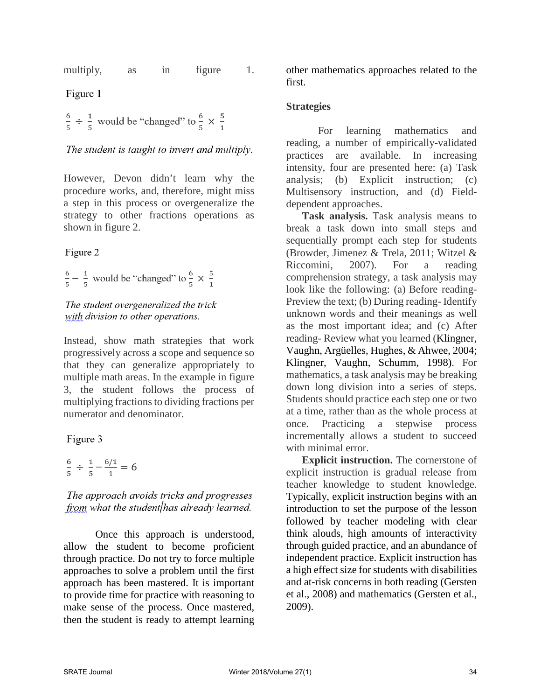multiply, as in figure 1.

Figure 1

 $\frac{6}{5}$  ÷  $\frac{1}{5}$  would be "changed" to  $\frac{6}{5} \times \frac{5}{1}$ 

The student is taught to invert and multiply.

However, Devon didn't learn why the procedure works, and, therefore, might miss a step in this process or overgeneralize the strategy to other fractions operations as shown in figure 2.

## Figure 2

 $\frac{6}{5} - \frac{1}{5}$  would be "changed" to  $\frac{6}{5} \times \frac{5}{1}$ 

## The student overgeneralized the trick with division to other operations.

Instead, show math strategies that work progressively across a scope and sequence so that they can generalize appropriately to multiple math areas. In the example in figure 3, the student follows the process of multiplying fractions to dividing fractions per numerator and denominator.

## Figure 3

$$
\frac{6}{5} \div \frac{1}{5} = \frac{6/1}{1} = 6
$$

The approach avoids tricks and progresses from what the student has already learned.

Once this approach is understood, allow the student to become proficient through practice. Do not try to force multiple approaches to solve a problem until the first approach has been mastered. It is important to provide time for practice with reasoning to make sense of the process. Once mastered, then the student is ready to attempt learning

other mathematics approaches related to the first.

## **Strategies**

For learning mathematics and reading, a number of empirically-validated practices are available. In increasing intensity, four are presented here: (a) Task analysis; (b) Explicit instruction; (c) Multisensory instruction, and (d) Fielddependent approaches.

**Task analysis.** Task analysis means to break a task down into small steps and sequentially prompt each step for students (Browder, Jimenez & Trela, 2011; Witzel & Riccomini, 2007). For a reading comprehension strategy, a task analysis may look like the following: (a) Before reading-Preview the text; (b) During reading- Identify unknown words and their meanings as well as the most important idea; and (c) After reading- Review what you learned (Klingner, Vaughn, Argüelles, Hughes, & Ahwee, 2004; Klingner, Vaughn, Schumm, 1998). For mathematics, a task analysis may be breaking down long division into a series of steps. Students should practice each step one or two at a time, rather than as the whole process at once. Practicing a stepwise process incrementally allows a student to succeed with minimal error.

**Explicit instruction.** The cornerstone of explicit instruction is gradual release from teacher knowledge to student knowledge. Typically, explicit instruction begins with an introduction to set the purpose of the lesson followed by teacher modeling with clear think alouds, high amounts of interactivity through guided practice, and an abundance of independent practice. Explicit instruction has a high effect size for students with disabilities and at-risk concerns in both reading (Gersten et al., 2008) and mathematics (Gersten et al., 2009).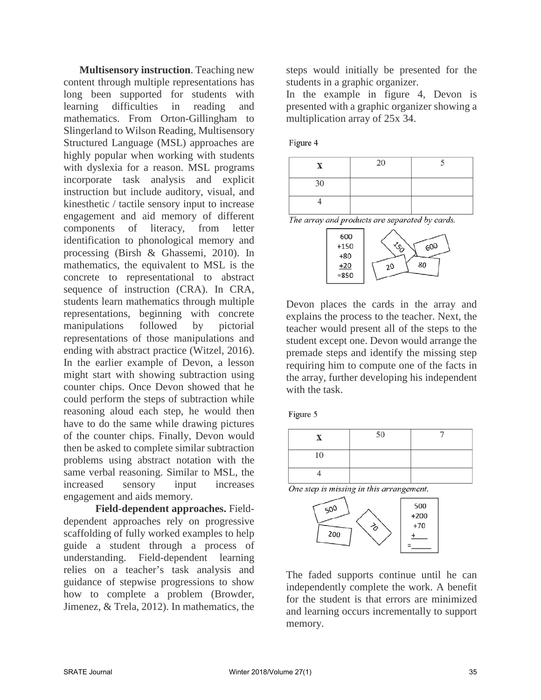**Multisensory instruction**. Teaching new content through multiple representations has long been supported for students with learning difficulties in reading and mathematics. From Orton-Gillingham to Slingerland to Wilson Reading, Multisensory Structured Language (MSL) approaches are highly popular when working with students with dyslexia for a reason. MSL programs incorporate task analysis and explicit instruction but include auditory, visual, and kinesthetic / tactile sensory input to increase engagement and aid memory of different components of literacy, from letter identification to phonological memory and processing (Birsh & Ghassemi, 2010). In mathematics, the equivalent to MSL is the concrete to representational to abstract sequence of instruction (CRA). In CRA, students learn mathematics through multiple representations, beginning with concrete manipulations followed by pictorial representations of those manipulations and ending with abstract practice (Witzel, 2016). In the earlier example of Devon, a lesson might start with showing subtraction using counter chips. Once Devon showed that he could perform the steps of subtraction while reasoning aloud each step, he would then have to do the same while drawing pictures of the counter chips. Finally, Devon would then be asked to complete similar subtraction problems using abstract notation with the same verbal reasoning. Similar to MSL, the increased sensory input increases engagement and aids memory.

**Field-dependent approaches.** Fielddependent approaches rely on progressive scaffolding of fully worked examples to help guide a student through a process of understanding. Field-dependent learning relies on a teacher's task analysis and guidance of stepwise progressions to show how to complete a problem (Browder, Jimenez, & Trela, 2012). In mathematics, the

steps would initially be presented for the students in a graphic organizer.

In the example in figure 4, Devon is presented with a graphic organizer showing a multiplication array of 25x 34.

#### Figure 4

|    | 20 |  |
|----|----|--|
| 30 |    |  |
|    |    |  |

The array and products are separated by cards.



Devon places the cards in the array and explains the process to the teacher. Next, the teacher would present all of the steps to the student except one. Devon would arrange the premade steps and identify the missing step requiring him to compute one of the facts in the array, further developing his independent with the task.

Figure 5

| v  | 50 | - |
|----|----|---|
| 10 |    |   |
|    |    |   |





The faded supports continue until he can independently complete the work. A benefit for the student is that errors are minimized and learning occurs incrementally to support memory.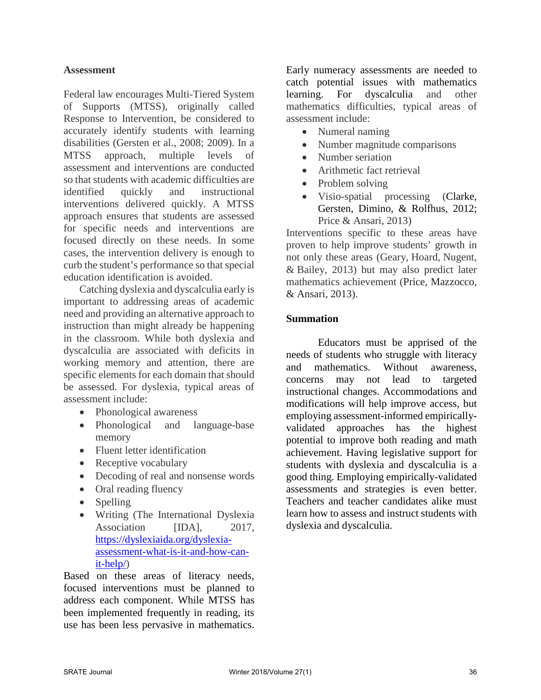## **Assessment**

Federal law encourages Multi-Tiered System of Supports (MTSS), originally called Response to Intervention, be considered to accurately identify students with learning disabilities (Gersten et al., 2008; 2009). In a MTSS approach, multiple levels of assessment and interventions are conducted so that students with academic difficulties are identified quickly and instructional interventions delivered quickly. A MTSS approach ensures that students are assessed for specific needs and interventions are focused directly on these needs. In some cases, the intervention delivery is enough to curb the student's performance so that special education identification is avoided.

Catching dyslexia and dyscalculia early is important to addressing areas of academic need and providing an alternative approach to instruction than might already be happening in the classroom. While both dyslexia and dyscalculia are associated with deficits in working memory and attention, there are specific elements for each domain that should be assessed. For dyslexia, typical areas of assessment include:

- Phonological awareness
- Phonological and language-base memory
- Fluent letter identification
- Receptive vocabulary
- Decoding of real and nonsense words
- Oral reading fluency
- Spelling
- Writing (The International Dyslexia Association [IDA], 2017, [https://dyslexiaida.org/dyslexia](https://dyslexiaida.org/dyslexia-assessment-what-is-it-and-how-can-it-help/)[assessment-what-is-it-and-how-can](https://dyslexiaida.org/dyslexia-assessment-what-is-it-and-how-can-it-help/)[it-help/\)](https://dyslexiaida.org/dyslexia-assessment-what-is-it-and-how-can-it-help/)

Based on these areas of literacy needs, focused interventions must be planned to address each component. While MTSS has been implemented frequently in reading, its use has been less pervasive in mathematics.

Early numeracy assessments are needed to catch potential issues with mathematics learning. For dyscalculia and other mathematics difficulties, typical areas of assessment include:

- Numeral naming
- Number magnitude comparisons
- Number seriation
- Arithmetic fact retrieval
- Problem solving
- Visio-spatial processing (Clarke, Gersten, Dimino, & Rolfhus, 2012; Price & Ansari, 2013)

Interventions specific to these areas have proven to help improve students' growth in not only these areas (Geary, Hoard, Nugent, & Bailey, 2013) but may also predict later mathematics achievement (Price, Mazzocco, & Ansari, 2013).

## **Summation**

Educators must be apprised of the needs of students who struggle with literacy and mathematics. Without awareness, concerns may not lead to targeted instructional changes. Accommodations and modifications will help improve access, but employing assessment-informed empiricallyvalidated approaches has the highest potential to improve both reading and math achievement. Having legislative support for students with dyslexia and dyscalculia is a good thing. Employing empirically-validated assessments and strategies is even better. Teachers and teacher candidates alike must learn how to assess and instruct students with dyslexia and dyscalculia.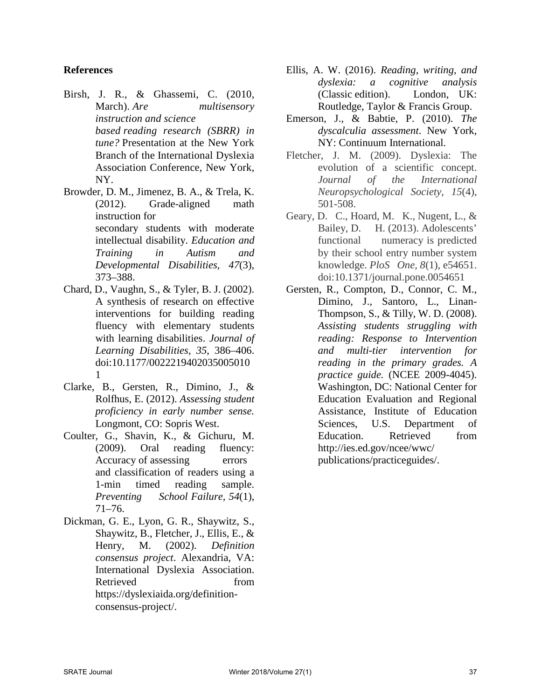## **References**

- Birsh, J. R., & Ghassemi, C. (2010, March). *Are multisensory instruction and science based reading research (SBRR) in tune?* Presentation at the New York Branch of the International Dyslexia Association Conference, New York, NY.
- Browder, D. M., Jimenez, B. A., & Trela, K. (2012). Grade-aligned math instruction for secondary students with moderate intellectual disability. *Education and Training in Autism and Developmental Disabilities, 47*(3), 373–388.
- Chard, D., Vaughn, S., & Tyler, B. J. (2002). A synthesis of research on effective interventions for building reading fluency with elementary students with learning disabilities. *Journal of Learning Disabilities, 35*, 386–406. doi:10.1177/0022219402035005010 1
- Clarke, B., Gersten, R., Dimino, J., & Rolfhus, E. (2012). *Assessing student proficiency in early number sense.* Longmont, CO: Sopris West.
- Coulter, G., Shavin, K., & Gichuru, M. (2009). Oral reading fluency: Accuracy of assessing errors and classification of readers using a 1-min timed reading sample. *Preventing School Failure, 54*(1), 71–76.
- Dickman, G. E., Lyon, G. R., Shaywitz, S., Shaywitz, B., Fletcher, J., Ellis, E., & Henry, M. (2002). *Definition consensus project*. Alexandria, VA: International Dyslexia Association. Retrieved from https://dyslexiaida.org/definitionconsensus-project/.
- Ellis, A. W. (2016). *Reading, writing, and dyslexia: a cognitive analysis* (Classic edition). London, UK: Routledge, Taylor & Francis Group.
- Emerson, J., & Babtie, P. (2010). *The dyscalculia assessment*. New York, NY: Continuum International.
- Fletcher, J. M. (2009). Dyslexia: The evolution of a scientific concept. *Journal of the International Neuropsychological Society, 15*(4), 501-508.
- Geary, D. C., Hoard, M. K., Nugent, L., & Bailey, D. H. (2013). Adolescents' functional numeracy is predicted by their school entry number system knowledge. *PloS One, 8*(1), e54651. doi:10.1371/journal.pone.0054651
- Gersten, R., Compton, D., Connor, C. M., Dimino, J., Santoro, L., Linan-Thompson, S., & Tilly, W. D. (2008). *Assisting students struggling with reading: Response to Intervention and multi-tier intervention for reading in the primary grades. A practice guide.* (NCEE 2009-4045). Washington, DC: National Center for Education Evaluation and Regional Assistance, Institute of Education Sciences, U.S. Department of Education. Retrieved from http://ies.ed.gov/ncee/wwc/ publications/practiceguides/.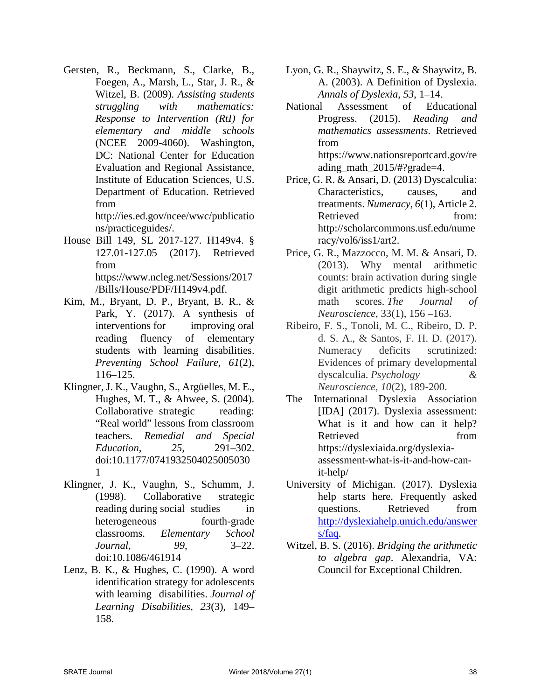Gersten, R., Beckmann, S., Clarke, B., Foegen, A., Marsh, L., Star, J. R., & Witzel, B. (2009). *Assisting students struggling with mathematics: Response to Intervention (RtI) for elementary and middle schools* (NCEE 2009-4060). Washington, DC: National Center for Education Evaluation and Regional Assistance, Institute of Education Sciences, U.S. Department of Education. Retrieved from

http://ies.ed.gov/ncee/wwc/publicatio ns/practiceguides/.

- House Bill 149, SL 2017-127. H149v4. § 127.01-127.05 (2017). Retrieved from https://www.ncleg.net/Sessions/2017 /Bills/House/PDF/H149v4.pdf.
- Kim, M., Bryant, D. P., Bryant, B. R., & Park, Y. (2017). A synthesis of interventions for improving oral reading fluency of elementary students with learning disabilities. *Preventing School Failure, 61*(2), 116–125.
- Klingner, J. K., Vaughn, S., Argüelles, M. E., Hughes, M. T., & Ahwee, S. (2004). Collaborative strategic reading: "Real world" lessons from classroom teachers. *Remedial and Special Education, 25,* 291–302. doi:10.1177/0741932504025005030 1
- Klingner, J. K., Vaughn, S., Schumm, J. (1998). Collaborative strategic reading during social studies in heterogeneous fourth-grade classrooms. *Elementary School Journal, 99*, 3–22. doi:10.1086/461914
- Lenz, B. K., & Hughes, C. (1990). A word identification strategy for adolescents with learning disabilities. *Journal of Learning Disabilities, 23*(3), 149– 158.
- Lyon, G. R., Shaywitz, S. E., & Shaywitz, B. A. (2003). A Definition of Dyslexia. *Annals of Dyslexia, 53*, 1–14.
- National Assessment of Educational Progress. (2015). *Reading and mathematics assessments*. Retrieved from [https://www.nationsreportcard.gov/re](https://www.nationsreportcard.gov/reading_math_2015/#?grade=4) ading math  $2015/\text{\#?grade} = 4$ .
- Price, G. R. & Ansari, D. (2013) Dyscalculia: Characteristics, causes, and treatments. *Numeracy, 6*(1), Article 2. Retrieved from: http://scholarcommons.usf.edu/nume racy/vol6/iss1/art2.
- Price, G. R., Mazzocco, M. M. & Ansari, D. (2013). Why mental arithmetic counts: brain activation during single digit arithmetic predicts high-school math scores. *The Journal of Neuroscience*, 33(1), 156 –163.
- Ribeiro, F. S., Tonoli, M. C., Ribeiro, D. P. d. S. A., & Santos, F. H. D. (2017). Numeracy deficits scrutinized: Evidences of primary developmental dyscalculia. *Psychology & Neuroscience, 10*(2), 189-200.
- The International Dyslexia Association [IDA] (2017). Dyslexia assessment: What is it and how can it help? Retrieved from https://dyslexiaida.org/dyslexiaassessment-what-is-it-and-how-canit-help/
- University of Michigan. (2017). Dyslexia help starts here. Frequently asked questions. Retrieved from [http://dyslexiahelp.umich.edu/answer](http://dyslexiahelp.umich.edu/answers/faq) [s/faq.](http://dyslexiahelp.umich.edu/answers/faq)
- Witzel, B. S. (2016). *Bridging the arithmetic to algebra gap*. Alexandria, VA: Council for Exceptional Children.